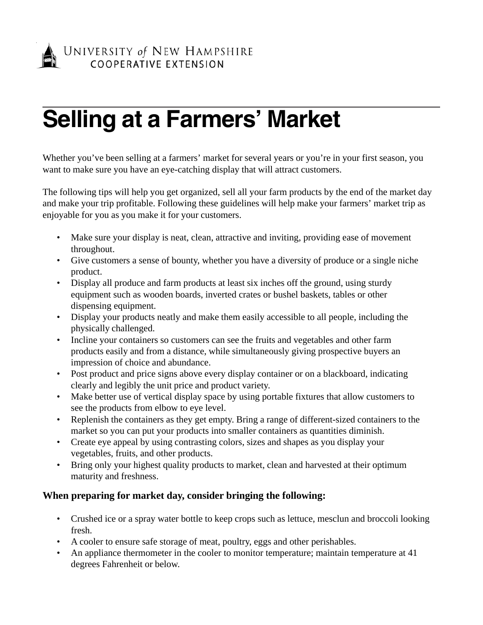

# **Selling at a Farmers' Market**

Whether you've been selling at a farmers' market for several years or you're in your first season, you want to make sure you have an eye-catching display that will attract customers.

The following tips will help you get organized, sell all your farm products by the end of the market day and make your trip profitable. Following these guidelines will help make your farmers' market trip as enjoyable for you as you make it for your customers.

- Make sure your display is neat, clean, attractive and inviting, providing ease of movement throughout.
- Give customers a sense of bounty, whether you have a diversity of produce or a single niche product.
- Display all produce and farm products at least six inches off the ground, using sturdy equipment such as wooden boards, inverted crates or bushel baskets, tables or other dispensing equipment.
- Display your products neatly and make them easily accessible to all people, including the physically challenged.
- Incline your containers so customers can see the fruits and vegetables and other farm products easily and from a distance, while simultaneously giving prospective buyers an impression of choice and abundance.
- Post product and price signs above every display container or on a blackboard, indicating clearly and legibly the unit price and product variety.
- Make better use of vertical display space by using portable fixtures that allow customers to see the products from elbow to eye level.
- Replenish the containers as they get empty. Bring a range of different-sized containers to the market so you can put your products into smaller containers as quantities diminish.
- Create eye appeal by using contrasting colors, sizes and shapes as you display your vegetables, fruits, and other products.
- Bring only your highest quality products to market, clean and harvested at their optimum maturity and freshness.

# **When preparing for market day, consider bringing the following:**

- Crushed ice or a spray water bottle to keep crops such as lettuce, mesclun and broccoli looking fresh.
- A cooler to ensure safe storage of meat, poultry, eggs and other perishables.
- An appliance thermometer in the cooler to monitor temperature; maintain temperature at 41 degrees Fahrenheit or below.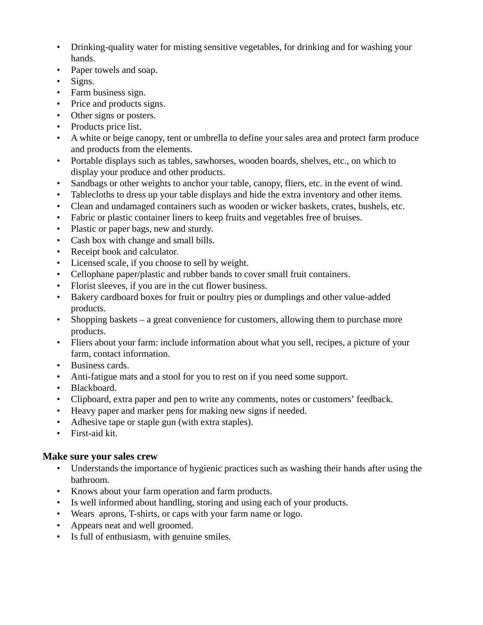- Drinking-quality water for misting sensitive vegetables, for drinking and for washing your hands.
- Paper towels and soap.
- Signs.
- Farm business sign.
- Price and products signs.
- Other signs or posters.
- Products price list.
- A white or beige canopy, tent or umbrella to define your sales area and protect farm produce and products from the elements.
- Portable displays such as tables, sawhorses, wooden boards, shelves, etc., on which to display your produce and other products.
- Sandbags or other weights to anchor your table, canopy, fliers, etc. in the event of wind.
- Tablecloths to dress up your table displays and hide the extra inventory and other items.
- Clean and undamaged containers such as wooden or wicker baskets, crates, bushels, etc.
- Fabric or plastic container liners to keep fruits and vegetables free of bruises.
- Plastic or paper bags, new and sturdy.
- Cash box with change and small bills.
- Receipt book and calculator.
- Licensed scale, if you choose to sell by weight.
- Cellophane paper/plastic and rubber bands to cover small fruit containers.
- Florist sleeves, if you are in the cut flower business.
- Bakery cardboard boxes for fruit or poultry pies or dumplings and other value-added products.
- Shopping baskets a great convenience for customers, allowing them to purchase more products.
- Fliers about your farm: include information about what you sell, recipes, a picture of your farm, contact information.
- Business cards.
- Anti-fatigue mats and a stool for you to rest on if you need some support.
- Blackboard.
- Clipboard, extra paper and pen to write any comments, notes or customers' feedback.
- Heavy paper and marker pens for making new signs if needed.
- Adhesive tape or staple gun (with extra staples).
- First-aid kit.

### **Make sure your sales crew**

- Understands the importance of hygienic practices such as washing their hands after using the bathroom.
- Knows about your farm operation and farm products.
- Is well informed about handling, storing and using each of your products.
- Wears aprons, T-shirts, or caps with your farm name or logo.
- Appears neat and well groomed.
- Is full of enthusiasm, with genuine smiles.